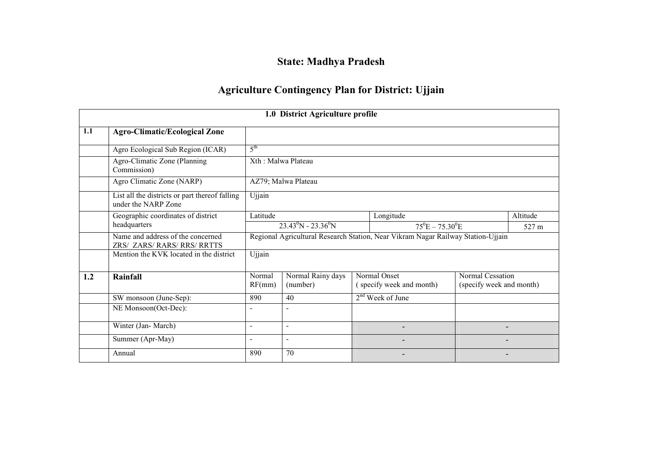### State: Madhya Pradesh

#### Agriculture Contingency Plan for District: Ujjain

|     |                                                                       |                          | 1.0 District Agriculture profile      |                                                                                  |                                              |          |
|-----|-----------------------------------------------------------------------|--------------------------|---------------------------------------|----------------------------------------------------------------------------------|----------------------------------------------|----------|
| 1.1 | <b>Agro-Climatic/Ecological Zone</b>                                  |                          |                                       |                                                                                  |                                              |          |
|     | Agro Ecological Sub Region (ICAR)                                     | 5 <sup>th</sup>          |                                       |                                                                                  |                                              |          |
|     | Agro-Climatic Zone (Planning<br>Commission)                           | Xth: Malwa Plateau       |                                       |                                                                                  |                                              |          |
|     | Agro Climatic Zone (NARP)                                             |                          | AZ79; Malwa Plateau                   |                                                                                  |                                              |          |
|     | List all the districts or part thereof falling<br>under the NARP Zone | Ujjain                   |                                       |                                                                                  |                                              |          |
|     | Geographic coordinates of district                                    | Latitude                 |                                       | Longitude                                                                        |                                              | Altitude |
|     | headquarters                                                          |                          | $23.43^{\circ}$ N - $23.36^{\circ}$ N | $75^{\circ}E - 75.30^{\circ}E$                                                   |                                              | 527 m    |
|     | Name and address of the concerned<br>ZRS/ ZARS/ RARS/ RRS/ RRTTS      |                          |                                       | Regional Agricultural Research Station, Near Vikram Nagar Railway Station-Ujjain |                                              |          |
|     | Mention the KVK located in the district                               | Ujjain                   |                                       |                                                                                  |                                              |          |
| 1.2 | Rainfall                                                              | Normal<br>RF(mm)         | Normal Rainy days<br>(number)         | Normal Onset<br>(specify week and month)                                         | Normal Cessation<br>(specify week and month) |          |
|     | SW monsoon (June-Sep):                                                | 890                      | 40                                    | 2 <sup>nd</sup> Week of June                                                     |                                              |          |
|     | NE Monsoon(Oct-Dec):                                                  |                          | $\overline{\phantom{0}}$              |                                                                                  |                                              |          |
|     | Winter (Jan-March)                                                    | $\overline{\phantom{a}}$ | $\overline{\phantom{a}}$              | $\qquad \qquad \blacksquare$                                                     |                                              |          |
|     | Summer (Apr-May)                                                      | $\blacksquare$           | $\blacksquare$                        | $\qquad \qquad \blacksquare$                                                     |                                              |          |
|     | Annual                                                                | 890                      | 70                                    |                                                                                  |                                              |          |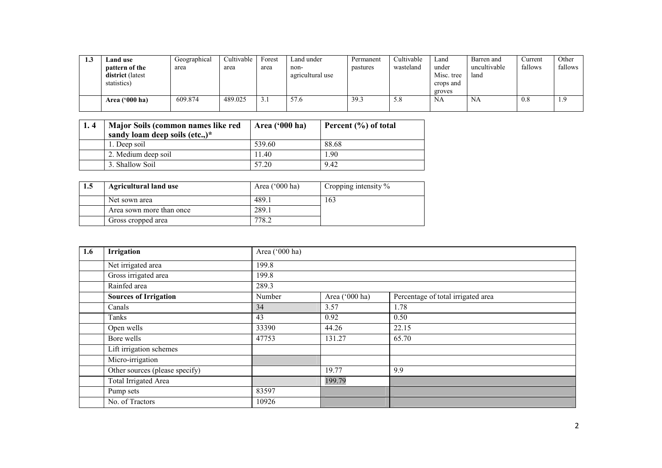| ن. | Land use         | Geographical | Cultivable | Forest | Land under       | Permanent | Cultivable | Land       | Barren and   | Current | Other   |
|----|------------------|--------------|------------|--------|------------------|-----------|------------|------------|--------------|---------|---------|
|    | pattern of the   | area         | area       | area   | non-             | pastures  | wasteland  | under      | uncultivable | fallows | fallows |
|    | district (latest |              |            |        | agricultural use |           |            | Misc. tree | land         |         |         |
|    | statistics)      |              |            |        |                  |           |            | crops and  |              |         |         |
|    |                  |              |            |        |                  |           |            | groves     |              |         |         |
|    | Area $('000 ha)$ | 609.874      | 489.025    |        | 57.6             | 39.3      | 5.8        | NA         | <b>NA</b>    | 0.8     | 1.9     |
|    |                  |              |            |        |                  |           |            |            |              |         |         |

| 1.4 | Major Soils (common names like red<br>sandy loam deep soils (etc.,)* | Area ('000 ha) | Percent $(\% )$ of total |
|-----|----------------------------------------------------------------------|----------------|--------------------------|
|     | 1. Deep soil                                                         | 539.60         | 88.68                    |
|     | 2. Medium deep soil                                                  | 11.40          | L.90                     |
|     | 3. Shallow Soil                                                      | 57.20          | 9.42                     |

| 1, 4 | Major Soils (common names like red<br>sandy loam deep soils (etc.,)* | Area $('000 ha)$ | Percent (%) of total |
|------|----------------------------------------------------------------------|------------------|----------------------|
|      | 1. Deep soil                                                         | 539.60           | 88.68                |
|      | 2. Medium deep soil                                                  | 11.40            | 1.90                 |
|      | 3. Shallow Soil                                                      | 57.20            | 9.42                 |
|      |                                                                      |                  |                      |
|      |                                                                      |                  |                      |
| 1.5  | <b>Agricultural land use</b>                                         | Area ('000 ha)   | Cropping intensity % |
|      | Net sown area                                                        | 489.1            | 163                  |
|      | Area sown more than once                                             | 289.1            |                      |

| 1.6 | Irrigation                     | Area ('000 ha) |                |                                    |
|-----|--------------------------------|----------------|----------------|------------------------------------|
|     | Net irrigated area             | 199.8          |                |                                    |
|     | Gross irrigated area           | 199.8          |                |                                    |
|     | Rainfed area                   | 289.3          |                |                                    |
|     | <b>Sources of Irrigation</b>   | Number         | Area ('000 ha) | Percentage of total irrigated area |
|     | Canals                         | 34             | 3.57           | 1.78                               |
|     | Tanks                          | 43             | 0.92           | 0.50                               |
|     | Open wells                     | 33390          | 44.26          | 22.15                              |
|     | Bore wells                     | 47753          | 131.27         | 65.70                              |
|     | Lift irrigation schemes        |                |                |                                    |
|     | Micro-irrigation               |                |                |                                    |
|     | Other sources (please specify) |                | 19.77          | 9.9                                |
|     | Total Irrigated Area           |                | 199.79         |                                    |
|     | Pump sets                      | 83597          |                |                                    |
|     | No. of Tractors                | 10926          |                |                                    |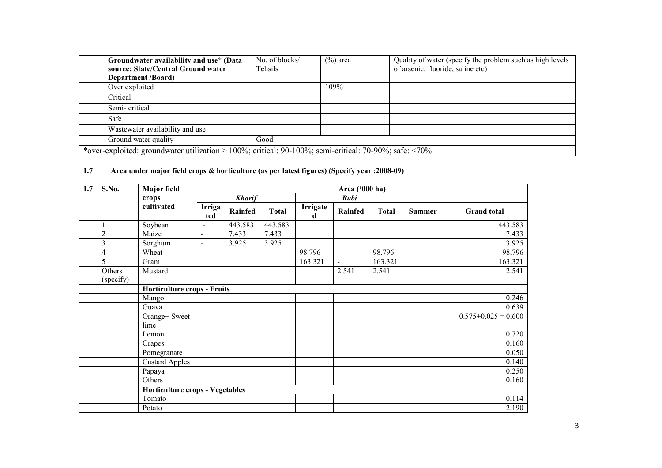| Groundwater availability and use* (Data<br>source: State/Central Ground water                                | No. of blocks/<br>Tehsils | $(\%)$ area | Quality of water (specify the problem such as high levels<br>of arsenic, fluoride, saline etc) |
|--------------------------------------------------------------------------------------------------------------|---------------------------|-------------|------------------------------------------------------------------------------------------------|
| <b>Department</b> /Board)                                                                                    |                           |             |                                                                                                |
| Over exploited                                                                                               |                           | 109%        |                                                                                                |
| Critical                                                                                                     |                           |             |                                                                                                |
| Semi-critical                                                                                                |                           |             |                                                                                                |
| Safe                                                                                                         |                           |             |                                                                                                |
| Wastewater availability and use                                                                              |                           |             |                                                                                                |
| Ground water quality                                                                                         | Good                      |             |                                                                                                |
| *over-exploited: groundwater utilization > 100%; critical: 90-100%; semi-critical: 70-90%; safe: $\leq 70\%$ |                           |             |                                                                                                |

#### 1.7 Area under major field crops & horticulture (as per latest figures) (Specify year :2008-09)

| 1.7 | S.No.               | <b>Major</b> field                     |                |               |              |               | Area ('000 ha) |              |               |                     |
|-----|---------------------|----------------------------------------|----------------|---------------|--------------|---------------|----------------|--------------|---------------|---------------------|
|     |                     | crops                                  |                | <b>Kharif</b> |              |               | Rabi           |              |               |                     |
|     |                     | cultivated                             | Irriga<br>ted  | Rainfed       | <b>Total</b> | Irrigate<br>d | Rainfed        | <b>Total</b> | <b>Summer</b> | <b>Grand</b> total  |
|     |                     | Soybean                                | $\blacksquare$ | 443.583       | 443.583      |               |                |              |               | 443.583             |
|     | $\overline{c}$      | Maize                                  | $\blacksquare$ | 7.433         | 7.433        |               |                |              |               | 7.433               |
|     | $\mathfrak{Z}$      | Sorghum                                | $\blacksquare$ | 3.925         | 3.925        |               |                |              |               | 3.925               |
|     | 4                   | Wheat                                  | $\blacksquare$ |               |              | 98.796        | $\sim$         | 98.796       |               | 98.796              |
|     | 5                   | Gram                                   |                |               |              | 163.321       | $\overline{a}$ | 163.321      |               | 163.321             |
|     | Others<br>(specify) | Mustard                                |                |               |              |               | 2.541          | 2.541        |               | 2.541               |
|     |                     | <b>Horticulture crops - Fruits</b>     |                |               |              |               |                |              |               |                     |
|     |                     | Mango                                  |                |               |              |               |                |              |               | 0.246               |
|     |                     | Guava                                  |                |               |              |               |                |              |               | 0.639               |
|     |                     | Orange+ Sweet<br>lime                  |                |               |              |               |                |              |               | $0.575+0.025=0.600$ |
|     |                     | Lemon                                  |                |               |              |               |                |              |               | 0.720               |
|     |                     | Grapes                                 |                |               |              |               |                |              |               | 0.160               |
|     |                     | Pomegranate                            |                |               |              |               |                |              |               | 0.050               |
|     |                     | <b>Custard Apples</b>                  |                |               |              |               |                |              |               | 0.140               |
|     |                     | Papaya                                 |                |               |              |               |                |              |               | 0.250               |
|     |                     | Others                                 |                |               |              |               |                |              |               | 0.160               |
|     |                     | <b>Horticulture crops - Vegetables</b> |                |               |              |               |                |              |               |                     |
|     |                     | Tomato                                 |                |               |              |               |                |              |               | 0.114               |
|     |                     | Potato                                 |                |               |              |               |                |              |               | 2.190               |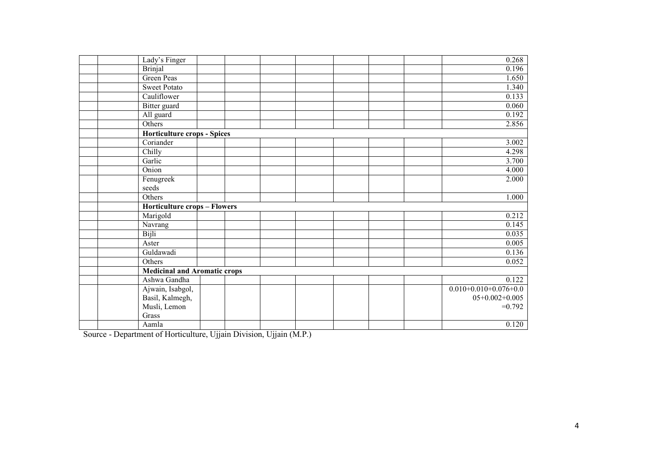| Lady's Finger                       |  |  | 0.268                   |
|-------------------------------------|--|--|-------------------------|
| <b>Brinjal</b>                      |  |  | 0.196                   |
| <b>Green Peas</b>                   |  |  | 1.650                   |
| <b>Sweet Potato</b>                 |  |  | 1.340                   |
| Cauliflower                         |  |  | 0.133                   |
| Bitter guard                        |  |  | 0.060                   |
| All guard                           |  |  | 0.192                   |
| Others                              |  |  | 2.856                   |
| <b>Horticulture crops - Spices</b>  |  |  |                         |
| Coriander                           |  |  | 3.002                   |
| Chilly                              |  |  | 4.298                   |
| Garlic                              |  |  | 3.700                   |
| Onion                               |  |  | 4.000                   |
| Fenugreek                           |  |  | 2.000                   |
| seeds                               |  |  |                         |
| Others                              |  |  | 1.000                   |
| <b>Horticulture crops - Flowers</b> |  |  |                         |
| Marigold                            |  |  | 0.212                   |
| Navrang                             |  |  | 0.145                   |
| Bijli                               |  |  | 0.035                   |
| Aster                               |  |  | 0.005                   |
| Guldawadi                           |  |  | 0.136                   |
| Others                              |  |  | 0.052                   |
| <b>Medicinal and Aromatic crops</b> |  |  |                         |
| Ashwa Gandha                        |  |  | 0.122                   |
| Ajwain, Isabgol,                    |  |  | $0.010+0.010+0.076+0.0$ |
| Basil, Kalmegh,                     |  |  | $05+0.002+0.005$        |
| Musli, Lemon                        |  |  | $=0.792$                |
| Grass                               |  |  |                         |
| Aamla                               |  |  | 0.120                   |

Source - Department of Horticulture, Ujjain Division, Ujjain (M.P.)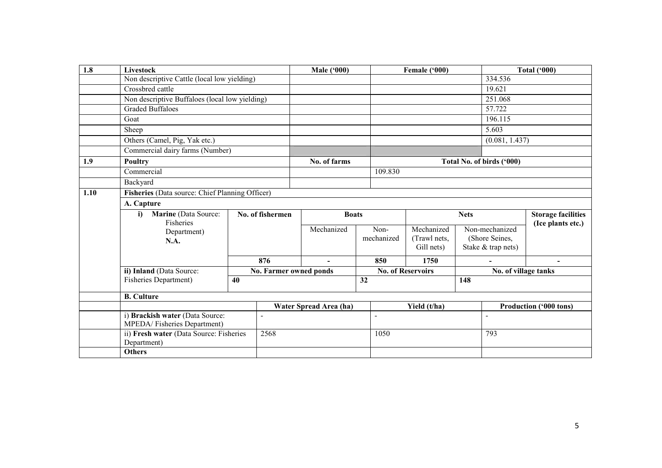| 1.8  | Livestock                                       |    |                          | <b>Male ('000)</b>     |                    | Female ('000)              |             |                                  | <b>Total ('000)</b>       |
|------|-------------------------------------------------|----|--------------------------|------------------------|--------------------|----------------------------|-------------|----------------------------------|---------------------------|
|      | Non descriptive Cattle (local low yielding)     |    |                          |                        |                    |                            |             | 334.536                          |                           |
|      | Crossbred cattle                                |    |                          |                        |                    |                            |             | 19.621                           |                           |
|      | Non descriptive Buffaloes (local low yielding)  |    |                          |                        |                    |                            |             | 251.068                          |                           |
|      | <b>Graded Buffaloes</b>                         |    |                          |                        |                    |                            |             | 57.722                           |                           |
|      | Goat                                            |    |                          |                        |                    |                            |             | 196.115                          |                           |
|      | Sheep                                           |    |                          |                        |                    |                            |             | 5.603                            |                           |
|      | Others (Camel, Pig, Yak etc.)                   |    |                          |                        |                    |                            |             | (0.081, 1.437)                   |                           |
|      | Commercial dairy farms (Number)                 |    |                          |                        |                    |                            |             |                                  |                           |
| 1.9  | <b>Poultry</b>                                  |    |                          | No. of farms           |                    |                            |             | Total No. of birds ('000)        |                           |
|      | Commercial                                      |    |                          |                        | 109.830            |                            |             |                                  |                           |
|      | Backyard                                        |    |                          |                        |                    |                            |             |                                  |                           |
| 1.10 | Fisheries (Data source: Chief Planning Officer) |    |                          |                        |                    |                            |             |                                  |                           |
|      | A. Capture                                      |    |                          |                        |                    |                            |             |                                  |                           |
|      | Marine (Data Source:<br>i)                      |    | No. of fishermen         | <b>Boats</b>           |                    |                            | <b>Nets</b> |                                  | <b>Storage facilities</b> |
|      | Fisheries                                       |    |                          |                        |                    |                            |             |                                  | (Ice plants etc.)         |
|      | Department)                                     |    |                          | Mechanized             | Non-<br>mechanized | Mechanized<br>(Trawl nets, |             | Non-mechanized<br>(Shore Seines, |                           |
|      | <b>N.A.</b>                                     |    |                          |                        |                    | Gill nets)                 |             | Stake & trap nets)               |                           |
|      |                                                 |    |                          |                        |                    |                            |             |                                  |                           |
|      |                                                 |    | 876                      | $\sim$                 | 850                | 1750                       |             | ÷.                               | $\blacksquare$            |
|      | ii) Inland (Data Source:                        |    | No. Farmer owned ponds   |                        |                    | <b>No. of Reservoirs</b>   |             | No. of village tanks             |                           |
|      | <b>Fisheries Department)</b>                    | 40 |                          |                        | 32                 |                            | 148         |                                  |                           |
|      | <b>B.</b> Culture                               |    |                          |                        |                    |                            |             |                                  |                           |
|      |                                                 |    |                          | Water Spread Area (ha) |                    | Yield (t/ha)               |             |                                  | Production ('000 tons)    |
|      | i) Brackish water (Data Source:                 |    | $\overline{\phantom{a}}$ |                        | $\blacksquare$     |                            |             | $\overline{\phantom{a}}$         |                           |
|      | MPEDA/Fisheries Department)                     |    |                          |                        |                    |                            |             |                                  |                           |
|      | ii) Fresh water (Data Source: Fisheries         |    | 2568                     |                        | 1050               |                            |             | 793                              |                           |
|      | Department)                                     |    |                          |                        |                    |                            |             |                                  |                           |
|      | <b>Others</b>                                   |    |                          |                        |                    |                            |             |                                  |                           |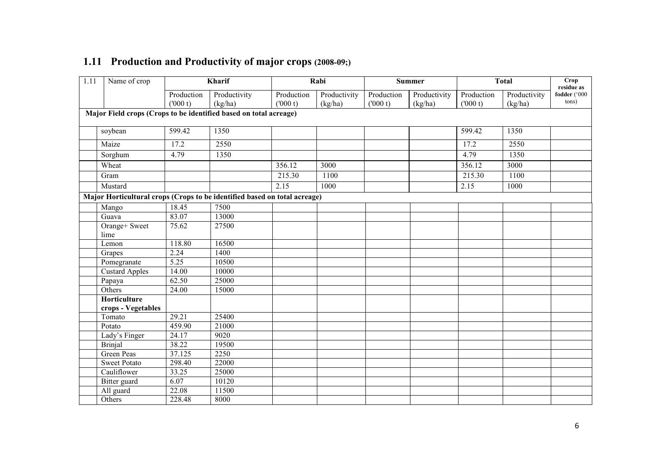| 1.11 | Name of crop                                                              |                   | Kharif       |            | Rabi         |            | <b>Summer</b> |            | <b>Total</b> | <b>Crop</b><br>residue as |
|------|---------------------------------------------------------------------------|-------------------|--------------|------------|--------------|------------|---------------|------------|--------------|---------------------------|
|      |                                                                           | Production        | Productivity | Production | Productivity | Production | Productivity  | Production | Productivity | fodder ('000              |
|      |                                                                           | (000 t)           | (kg/ha)      | (000 t)    | (kg/ha)      | (000 t)    | (kg/ha)       | (000 t)    | (kg/ha)      | tons)                     |
|      | Major Field crops (Crops to be identified based on total acreage)         |                   |              |            |              |            |               |            |              |                           |
|      | soybean                                                                   | 599.42            | 1350         |            |              |            |               | 599.42     | 1350         |                           |
|      | Maize                                                                     | 17.2              | 2550         |            |              |            |               | 17.2       | 2550         |                           |
|      | Sorghum                                                                   | 4.79              | 1350         |            |              |            |               | 4.79       | 1350         |                           |
|      | Wheat                                                                     |                   |              | 356.12     | 3000         |            |               | 356.12     | 3000         |                           |
|      | Gram                                                                      |                   |              | 215.30     | 1100         |            |               | 215.30     | 1100         |                           |
|      | Mustard                                                                   |                   |              | 2.15       | 1000         |            |               | 2.15       | 1000         |                           |
|      | Major Horticultural crops (Crops to be identified based on total acreage) |                   |              |            |              |            |               |            |              |                           |
|      | Mango                                                                     | 18.45             | 7500         |            |              |            |               |            |              |                           |
|      | Guava                                                                     | 83.07             | 13000        |            |              |            |               |            |              |                           |
|      | Orange+ Sweet                                                             | 75.62             | 27500        |            |              |            |               |            |              |                           |
|      | lime                                                                      |                   |              |            |              |            |               |            |              |                           |
|      | Lemon                                                                     | 118.80            | 16500        |            |              |            |               |            |              |                           |
|      | Grapes                                                                    | 2.24              | 1400         |            |              |            |               |            |              |                           |
|      | Pomegranate                                                               | $\overline{5.25}$ | 10500        |            |              |            |               |            |              |                           |
|      | <b>Custard Apples</b>                                                     | 14.00             | 10000        |            |              |            |               |            |              |                           |
|      | Papaya                                                                    | 62.50             | 25000        |            |              |            |               |            |              |                           |
|      | Others                                                                    | 24.00             | 15000        |            |              |            |               |            |              |                           |
|      | Horticulture                                                              |                   |              |            |              |            |               |            |              |                           |
|      | crops - Vegetables<br>Tomato                                              | 29.21             | 25400        |            |              |            |               |            |              |                           |
|      | Potato                                                                    | 459.90            | 21000        |            |              |            |               |            |              |                           |
|      |                                                                           | 24.17             | 9020         |            |              |            |               |            |              |                           |
|      | Lady's Finger<br><b>Brinjal</b>                                           | 38.22             | 19500        |            |              |            |               |            |              |                           |
|      | Green Peas                                                                | 37.125            | 2250         |            |              |            |               |            |              |                           |
|      |                                                                           |                   |              |            |              |            |               |            |              |                           |
|      | <b>Sweet Potato</b>                                                       | 298.40            | 22000        |            |              |            |               |            |              |                           |
|      | Cauliflower                                                               | 33.25             | 25000        |            |              |            |               |            |              |                           |
|      | Bitter guard                                                              | 6.07              | 10120        |            |              |            |               |            |              |                           |
|      | All guard                                                                 | 22.08             | 11500        |            |              |            |               |            |              |                           |
|      | Others                                                                    | 228.48            | 8000         |            |              |            |               |            |              |                           |

## 1.11 Production and Productivity of major crops (2008-09;)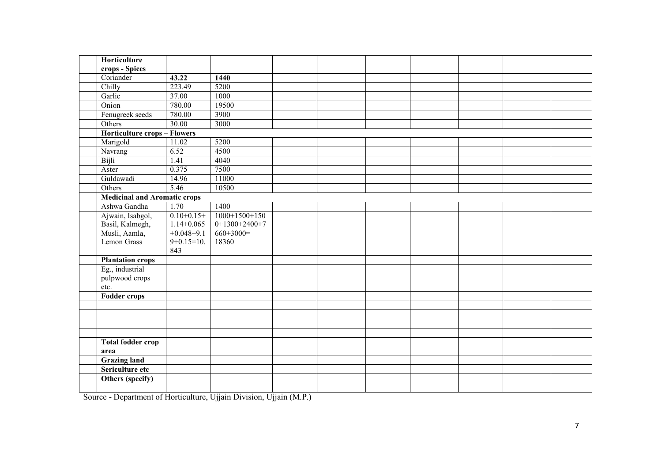| Horticulture                        |                |                 |  |  |  |  |
|-------------------------------------|----------------|-----------------|--|--|--|--|
| crops - Spices                      |                |                 |  |  |  |  |
| Coriander                           | 43.22          | 1440            |  |  |  |  |
| Chilly                              | 223.49         | 5200            |  |  |  |  |
| Garlic                              | 37.00          | 1000            |  |  |  |  |
| Onion                               | 780.00         | 19500           |  |  |  |  |
| Fenugreek seeds                     | 780.00         | 3900            |  |  |  |  |
| Others                              | 30.00          | 3000            |  |  |  |  |
| <b>Horticulture crops - Flowers</b> |                |                 |  |  |  |  |
| Marigold                            | 11.02          | 5200            |  |  |  |  |
| Navrang                             | 6.52           | 4500            |  |  |  |  |
| Bijli                               | 1.41           | 4040            |  |  |  |  |
| Aster                               | 0.375          | 7500            |  |  |  |  |
| Guldawadi                           | 14.96          | 11000           |  |  |  |  |
| Others                              | 5.46           | 10500           |  |  |  |  |
| <b>Medicinal and Aromatic crops</b> |                |                 |  |  |  |  |
| Ashwa Gandha                        | 1.70           | 1400            |  |  |  |  |
| Ajwain, Isabgol,                    | $0.10+0.15+$   | $1000+1500+150$ |  |  |  |  |
| Basil, Kalmegh,                     | $1.14 + 0.065$ | $0+1300+2400+7$ |  |  |  |  |
| Musli, Aamla,                       | $+0.048+9.1$   | $660+3000=$     |  |  |  |  |
| Lemon Grass                         | $9+0.15=10$ .  | 18360           |  |  |  |  |
|                                     | 843            |                 |  |  |  |  |
| <b>Plantation crops</b>             |                |                 |  |  |  |  |
| Eg., industrial                     |                |                 |  |  |  |  |
| pulpwood crops                      |                |                 |  |  |  |  |
| etc.                                |                |                 |  |  |  |  |
| <b>Fodder crops</b>                 |                |                 |  |  |  |  |
|                                     |                |                 |  |  |  |  |
|                                     |                |                 |  |  |  |  |
|                                     |                |                 |  |  |  |  |
|                                     |                |                 |  |  |  |  |
| <b>Total fodder crop</b>            |                |                 |  |  |  |  |
| area                                |                |                 |  |  |  |  |
| <b>Grazing land</b>                 |                |                 |  |  |  |  |
| Sericulture etc                     |                |                 |  |  |  |  |
| Others (specify)                    |                |                 |  |  |  |  |
|                                     |                |                 |  |  |  |  |

Source - Department of Horticulture, Ujjain Division, Ujjain (M.P.)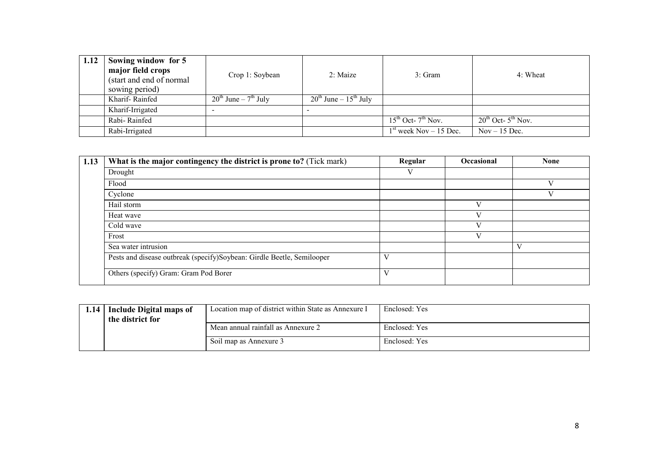| 1.12 | Sowing window for 5<br>major field crops<br>(start and end of normal)<br>sowing period) | Crop 1: Soybean                | 2: Maize                        | 3: Gram                      | 4: Wheat                     |
|------|-----------------------------------------------------------------------------------------|--------------------------------|---------------------------------|------------------------------|------------------------------|
|      | Kharif-Rainfed                                                                          | $20^{th}$ June – $7^{th}$ July | $20^{th}$ June – $15^{th}$ July |                              |                              |
|      | Kharif-Irrigated                                                                        |                                |                                 |                              |                              |
|      | Rabi-Rainfed                                                                            |                                |                                 | $15^{th}$ Oct- $7^{th}$ Nov. | $20^{th}$ Oct- $5^{th}$ Nov. |
|      | Rabi-Irrigated                                                                          |                                |                                 | $1st$ week Nov – 15 Dec.     | $Nov - 15 Dec.$              |

| 1.13 | What is the major contingency the district is prone to? (Tick mark)    | Regular | <b>Occasional</b> | <b>None</b> |
|------|------------------------------------------------------------------------|---------|-------------------|-------------|
|      | Drought                                                                | V       |                   |             |
|      | Flood                                                                  |         |                   |             |
|      | Cyclone                                                                |         |                   |             |
|      | Hail storm                                                             |         |                   |             |
|      | Heat wave                                                              |         |                   |             |
|      | Cold wave                                                              |         |                   |             |
|      | Frost                                                                  |         |                   |             |
|      | Sea water intrusion                                                    |         |                   | V           |
|      | Pests and disease outbreak (specify)Soybean: Girdle Beetle, Semilooper |         |                   |             |
|      | Others (specify) Gram: Gram Pod Borer                                  |         |                   |             |

|  | 1.14 Include Digital maps of<br>the district for | Location map of district within State as Annexure I | Enclosed: Yes |
|--|--------------------------------------------------|-----------------------------------------------------|---------------|
|  |                                                  | Mean annual rainfall as Annexure 2                  | Enclosed: Yes |
|  |                                                  | Soil map as Annexure 3                              | Enclosed: Yes |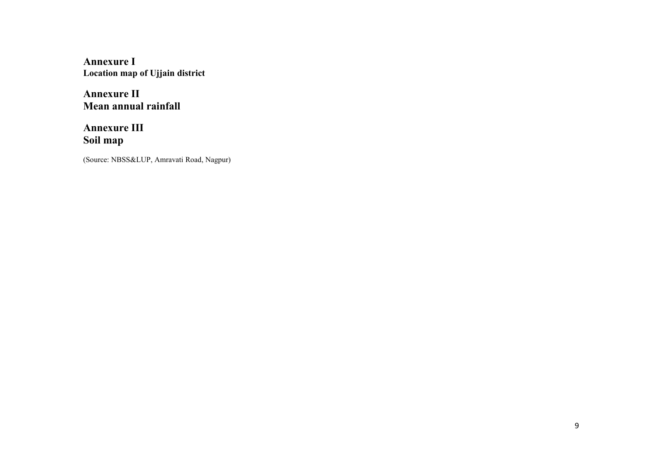Annexure I Location map of Ujjain district

Annexure II Mean annual rainfall

Annexure III Soil map

(Source: NBSS&LUP, Amravati Road, Nagpur)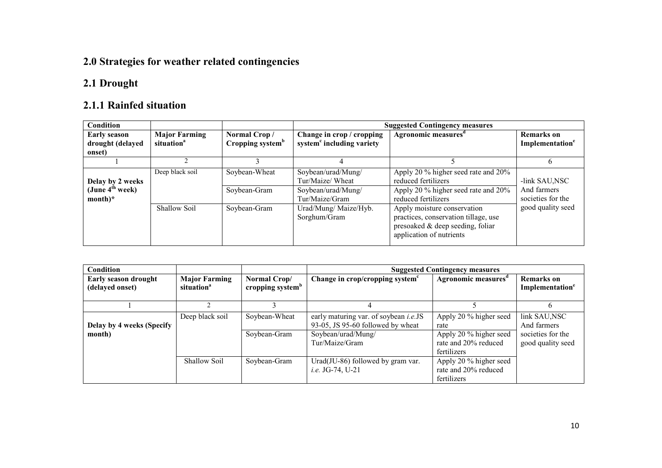## 2.0 Strategies for weather related contingencies

#### 2.1 Drought

## 2.1.1 Rainfed situation

| Condition                                                     |                                                |                                              | <b>Suggested Contingency measures</b>                                          |                                                                                                                                     |                                                   |  |
|---------------------------------------------------------------|------------------------------------------------|----------------------------------------------|--------------------------------------------------------------------------------|-------------------------------------------------------------------------------------------------------------------------------------|---------------------------------------------------|--|
| <b>Early season</b><br>drought (delayed                       | <b>Major Farming</b><br>situation <sup>a</sup> | Normal Crop/<br>Cropping system <sup>b</sup> | Change in crop / cropping<br>system <sup>c</sup> including variety             | Agronomic measures <sup>d</sup>                                                                                                     | <b>Remarks</b> on<br>Implementation <sup>e</sup>  |  |
| onset)                                                        |                                                |                                              |                                                                                |                                                                                                                                     |                                                   |  |
|                                                               |                                                |                                              | 4                                                                              |                                                                                                                                     | 6                                                 |  |
| Delay by 2 weeks<br>(June 4 <sup>th</sup> week)<br>$month)^*$ | Deep black soil                                | Soybean-Wheat<br>Soybean-Gram                | Soybean/urad/Mung/<br>Tur/Maize/ Wheat<br>Soybean/urad/Mung/<br>Tur/Maize/Gram | Apply 20 % higher seed rate and 20%<br>reduced fertilizers<br>Apply 20 % higher seed rate and 20%<br>reduced fertilizers            | -link SAU,NSC<br>And farmers<br>societies for the |  |
|                                                               | Shallow Soil                                   | Soybean-Gram                                 | Urad/Mung/ Maize/Hyb.<br>Sorghum/Gram                                          | Apply moisture conservation<br>practices, conservation tillage, use<br>presoaked & deep seeding, foliar<br>application of nutrients | good quality seed                                 |  |

| <b>Condition</b>                        |                                                                                                |                               | <b>Suggested Contingency measures</b>                                                                                      |                                                                                                 |                                                                        |  |
|-----------------------------------------|------------------------------------------------------------------------------------------------|-------------------------------|----------------------------------------------------------------------------------------------------------------------------|-------------------------------------------------------------------------------------------------|------------------------------------------------------------------------|--|
| Early season drought<br>(delayed onset) | <b>Major Farming</b><br>Normal Crop/<br>cropping system <sup>b</sup><br>situation <sup>a</sup> |                               | Change in crop/cropping system <sup>c</sup>                                                                                | Agronomic measures <sup>d</sup>                                                                 | <b>Remarks</b> on<br>Implementation <sup>e</sup>                       |  |
|                                         |                                                                                                |                               |                                                                                                                            |                                                                                                 | h                                                                      |  |
| Delay by 4 weeks (Specify<br>month)     | Deep black soil                                                                                | Soybean-Wheat<br>Soybean-Gram | early maturing var. of soybean <i>i.e.</i> JS<br>93-05, JS 95-60 followed by wheat<br>Soybean/urad/Mung/<br>Tur/Maize/Gram | Apply 20 % higher seed<br>rate<br>Apply 20 % higher seed<br>rate and 20% reduced<br>fertilizers | link SAU, NSC<br>And farmers<br>societies for the<br>good quality seed |  |
|                                         | <b>Shallow Soil</b>                                                                            | Soybean-Gram                  | Urad(JU-86) followed by gram var.<br><i>i.e.</i> JG-74, U-21                                                               | Apply 20 % higher seed<br>rate and 20% reduced<br>fertilizers                                   |                                                                        |  |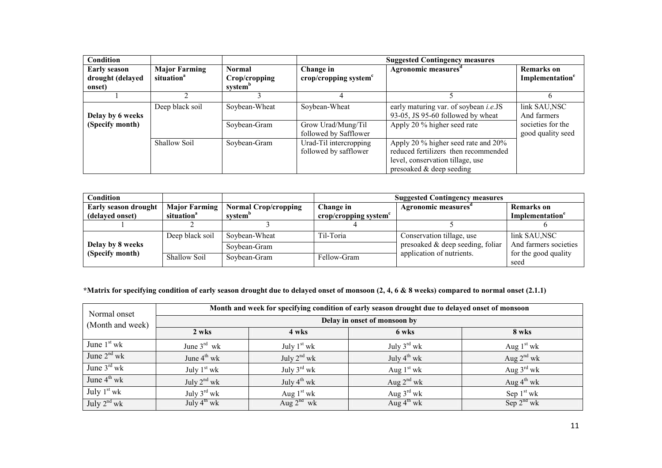| Condition                               |                                                |                                |                                                 | <b>Suggested Contingency measures</b>                                                                                                         |                                                  |
|-----------------------------------------|------------------------------------------------|--------------------------------|-------------------------------------------------|-----------------------------------------------------------------------------------------------------------------------------------------------|--------------------------------------------------|
| <b>Early season</b><br>drought (delayed | <b>Major Farming</b><br>situation <sup>a</sup> | <b>Normal</b><br>Crop/cropping | Change in<br>crop/cropping system $c$           | Agronomic measures <sup>d</sup>                                                                                                               | <b>Remarks</b> on<br>Implementation <sup>e</sup> |
| onset)                                  |                                                | system <sup>b</sup>            |                                                 |                                                                                                                                               |                                                  |
|                                         |                                                |                                | 4                                               |                                                                                                                                               | 6                                                |
| Delay by 6 weeks                        | Deep black soil                                | Soybean-Wheat                  | Soybean-Wheat                                   | early maturing var. of soybean <i>i.e.</i> JS<br>93-05, JS 95-60 followed by wheat                                                            | link SAU, NSC<br>And farmers                     |
| (Specify month)                         |                                                | Soybean-Gram                   | Grow Urad/Mung/Til<br>followed by Safflower     | Apply 20 % higher seed rate                                                                                                                   | societies for the<br>good quality seed           |
|                                         | Shallow Soil                                   | Soybean-Gram                   | Urad-Til intercropping<br>followed by safflower | Apply 20 % higher seed rate and 20%<br>reduced fertilizers then recommended<br>level, conservation tillage, use<br>presoaked $&$ deep seeding |                                                  |

| Condition                   |                        |                             |                                 | <b>Suggested Contingency measures</b> |                              |
|-----------------------------|------------------------|-----------------------------|---------------------------------|---------------------------------------|------------------------------|
| <b>Early season drought</b> | <b>Major Farming</b>   | <b>Normal Crop/cropping</b> | Change in                       | Agronomic measures                    | <b>Remarks</b> on            |
| (delayed onset)             | situation <sup>a</sup> | system <sup>p</sup>         | crop/cropping system $\epsilon$ |                                       | Implementation               |
|                             |                        |                             |                                 |                                       |                              |
|                             | Deep black soil        | Soybean-Wheat               | Til-Toria                       | Conservation tillage, use             | link SAU,NSC                 |
| Delay by 8 weeks            |                        | Sovbean-Gram                |                                 | presoaked $\&$ deep seeding, foliar   | And farmers societies        |
| (Specify month)             | Shallow Soil           | Soybean-Gram                | Fellow-Gram                     | application of nutrients.             | for the good quality<br>seed |

#### \*Matrix for specifying condition of early season drought due to delayed onset of monsoon (2, 4, 6 & 8 weeks) compared to normal onset (2.1.1)

| Normal onset            | Month and week for specifying condition of early season drought due to delayed onset of monsoon |                         |                         |                        |  |  |  |  |
|-------------------------|-------------------------------------------------------------------------------------------------|-------------------------|-------------------------|------------------------|--|--|--|--|
| (Month and week)        | Delay in onset of monsoon by                                                                    |                         |                         |                        |  |  |  |  |
|                         | 2 wks                                                                                           | 4 wks                   | 6 wks                   | 8 wks                  |  |  |  |  |
| June $1st$ wk           | June $3^{rd}$ wk                                                                                | July $1st$ wk           | July $3^{\text{rd}}$ wk | Aug $1st$ wk           |  |  |  |  |
| June $2nd$ wk           | June $4^{\text{th}}$ wk                                                                         | July $2^{nd}$ wk        | July $4^{th}$ wk        | Aug $2^{nd}$ wk        |  |  |  |  |
| June $3^{\text{rd}}$ wk | July $1st$ wk                                                                                   | July $3^{\text{rd}}$ wk | Aug $1st$ wk            | Aug $3^{\text{rd}}$ wk |  |  |  |  |
| June $4^{\text{th}}$ wk | July $2^{nd}$ wk                                                                                | July $4^{th}$ wk        | Aug $2^{nd}$ wk         | Aug $4^{\text{th}}$ wk |  |  |  |  |
| July $1st$ wk           | July $3^{\text{rd}}$ wk                                                                         | Aug $1st$ wk            | Aug $3^{\text{rd}}$ wk  | Sep $1st$ wk           |  |  |  |  |
| July $2^{nd}$ wk        | July $4^{th}$ wk                                                                                | Aug $2^{nd}$ wk         | Aug $4^{\text{th}}$ wk  | Sep $2^{nd}$ wk        |  |  |  |  |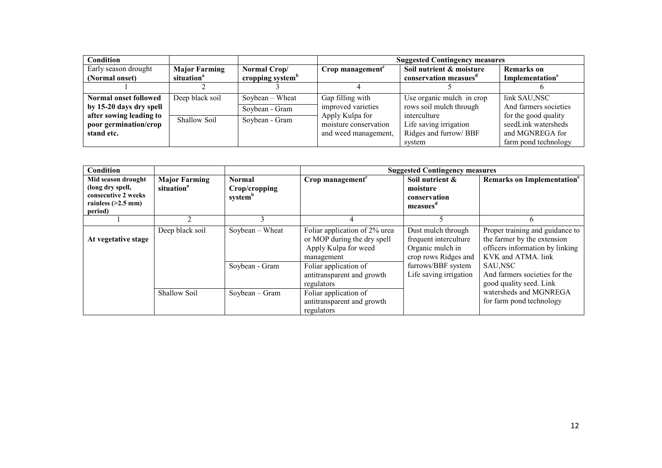| <b>Condition</b>             |                        |                              |                              | <b>Suggested Contingency measures</b> |                             |
|------------------------------|------------------------|------------------------------|------------------------------|---------------------------------------|-----------------------------|
| Early season drought         | <b>Major Farming</b>   | Normal Crop/                 | Crop management <sup>c</sup> | Soil nutrient & moisture              | <b>Remarks</b> on           |
| (Normal onset)               | situation <sup>a</sup> | cropping system <sup>b</sup> |                              | conservation measues <sup>a</sup>     | Implementation <sup>e</sup> |
|                              |                        |                              |                              |                                       |                             |
| <b>Normal onset followed</b> | Deep black soil        | Soybean $-$ Wheat            | Gap filling with             | Use organic mulch in crop             | link SAU, NSC               |
| by 15-20 days dry spell      |                        | Soybean - Gram               | improved varieties           | rows soil mulch through               | And farmers societies       |
| after sowing leading to      | Shallow Soil           | Soybean - Gram               | Apply Kulpa for              | interculture                          | for the good quality        |
| poor germination/crop        |                        |                              | moisture conservation        | Life saving irrigation                | seedLink watersheds         |
| stand etc.                   |                        |                              | and weed management,         | Ridges and furrow/BBF                 | and MGNREGA for             |
|                              |                        |                              |                              | system                                | farm pond technology        |

| <b>Condition</b>                                                                                 |                                                |                                                |                                                                                                    | <b>Suggested Contingency measures</b>                                                   |                                                                                                                         |
|--------------------------------------------------------------------------------------------------|------------------------------------------------|------------------------------------------------|----------------------------------------------------------------------------------------------------|-----------------------------------------------------------------------------------------|-------------------------------------------------------------------------------------------------------------------------|
| Mid season drought<br>(long dry spell,<br>consecutive 2 weeks<br>rainless $(>2.5$ mm)<br>period) | <b>Major Farming</b><br>situation <sup>a</sup> | Normal<br>Crop/cropping<br>system <sup>b</sup> | Crop management $c$                                                                                | Soil nutrient &<br>moisture<br>conservation<br>measues <sup>d</sup>                     | Remarks on Implementation <sup>e</sup>                                                                                  |
|                                                                                                  |                                                | 3                                              |                                                                                                    |                                                                                         |                                                                                                                         |
| At vegetative stage                                                                              | Deep black soil                                | $Sovbean - Wheat$                              | Foliar application of 2% urea<br>or MOP during the dry spell<br>Apply Kulpa for weed<br>management | Dust mulch through<br>frequent interculture<br>Organic mulch in<br>crop rows Ridges and | Proper training and guidance to<br>the farmer by the extension<br>officers information by linking<br>KVK and ATMA, link |
|                                                                                                  |                                                | Soybean - Gram                                 | Foliar application of<br>antitransparent and growth<br>regulators                                  | furrows/BBF system<br>Life saving irrigation                                            | SAU,NSC<br>And farmers societies for the<br>good quality seed. Link                                                     |
|                                                                                                  | Shallow Soil                                   | $Soybean - Gram$                               | Foliar application of<br>antitransparent and growth<br>regulators                                  |                                                                                         | watersheds and MGNREGA<br>for farm pond technology                                                                      |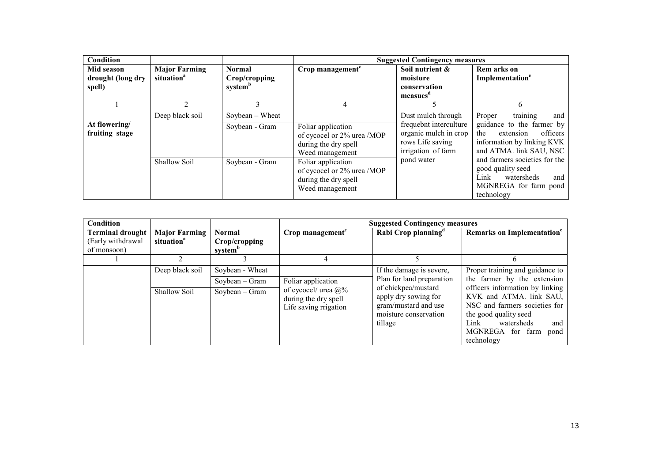| <b>Condition</b>                          |                                                |                                           |                                                                                             | <b>Suggested Contingency measures</b>                                                                           |                                                                                                                                                 |
|-------------------------------------------|------------------------------------------------|-------------------------------------------|---------------------------------------------------------------------------------------------|-----------------------------------------------------------------------------------------------------------------|-------------------------------------------------------------------------------------------------------------------------------------------------|
| Mid season<br>drought (long dry<br>spell) | <b>Major Farming</b><br>situation <sup>a</sup> | <b>Normal</b><br>Crop/cropping<br>systemb | Crop management $c$                                                                         | Soil nutrient &<br>moisture<br>conservation<br>measues                                                          | Rem arks on<br>Implementation <sup>e</sup>                                                                                                      |
|                                           |                                                |                                           | 4                                                                                           |                                                                                                                 | 6                                                                                                                                               |
| At flowering/<br>fruiting stage           | Deep black soil                                | $Sovbean - Wheat$<br>Soybean - Gram       | Foliar application<br>of cycocel or 2% urea /MOP<br>during the dry spell<br>Weed management | Dust mulch through<br>frequebnt interculture<br>organic mulch in crop<br>rows Life saving<br>irrigation of farm | training<br>and<br>Proper<br>guidance to the farmer by<br>officers<br>extension<br>the<br>information by linking KVK<br>and ATMA. link SAU, NSC |
|                                           | Shallow Soil                                   | Soybean - Gram                            | Foliar application<br>of cycocel or 2% urea /MOP<br>during the dry spell<br>Weed management | pond water                                                                                                      | and farmers societies for the<br>good quality seed<br>Link<br>watersheds<br>and<br>MGNREGA for farm pond<br>technology                          |

| Condition               |                        |                     |                                                                              | <b>Suggested Contingency measures</b>                                                                   |                                                                                                                                                                                             |
|-------------------------|------------------------|---------------------|------------------------------------------------------------------------------|---------------------------------------------------------------------------------------------------------|---------------------------------------------------------------------------------------------------------------------------------------------------------------------------------------------|
| <b>Terminal drought</b> | <b>Major Farming</b>   | <b>Normal</b>       | Crop management <sup>c</sup>                                                 | Rabi Crop planning <sup>d</sup>                                                                         | Remarks on Implementation <sup>e</sup>                                                                                                                                                      |
| (Early withdrawal       | situation <sup>a</sup> | Crop/cropping       |                                                                              |                                                                                                         |                                                                                                                                                                                             |
| of monsoon)             |                        | system <sup>b</sup> |                                                                              |                                                                                                         |                                                                                                                                                                                             |
|                         |                        |                     | 4                                                                            |                                                                                                         | h                                                                                                                                                                                           |
|                         | Deep black soil        | Soybean - Wheat     |                                                                              | If the damage is severe,                                                                                | Proper training and guidance to                                                                                                                                                             |
|                         |                        | $Soybean - Gram$    | Foliar application                                                           | Plan for land preparation                                                                               | the farmer by the extension                                                                                                                                                                 |
|                         | <b>Shallow Soil</b>    | $Soybean - Gram$    | of cycocel/ urea $\omega$ %<br>during the dry spell<br>Life saving rrigation | of chickpea/mustard<br>apply dry sowing for<br>gram/mustard and use<br>moisture conservation<br>tillage | officers information by linking<br>KVK and ATMA. link SAU,<br>NSC and farmers societies for<br>the good quality seed<br>Link<br>watersheds<br>and<br>MGNREGA for farm<br>pond<br>technology |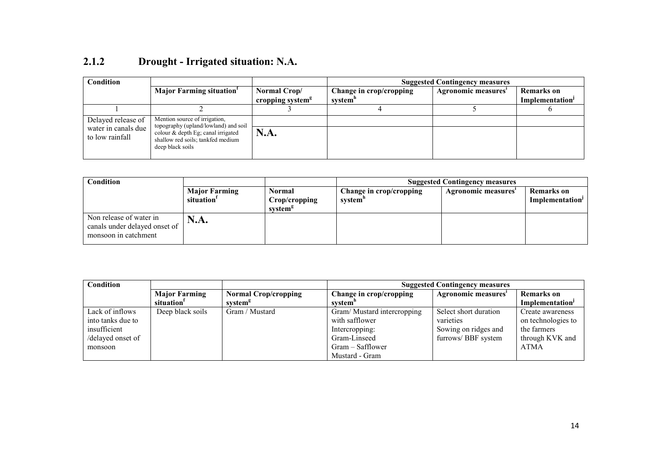| Condition                              |                                                                                                                                        |                                              | <b>Suggested Contingency measures</b>          |                     |                                                  |  |
|----------------------------------------|----------------------------------------------------------------------------------------------------------------------------------------|----------------------------------------------|------------------------------------------------|---------------------|--------------------------------------------------|--|
|                                        | <b>Major Farming situation</b>                                                                                                         | Normal Crop/<br>cropping system <sup>g</sup> | Change in crop/cropping<br>system <sup>"</sup> | Agronomic measures' | <b>Remarks</b> on<br>Implementation <sup>J</sup> |  |
|                                        |                                                                                                                                        |                                              |                                                |                     |                                                  |  |
| Delayed release of                     | Mention source of irrigation,                                                                                                          |                                              |                                                |                     |                                                  |  |
| water in canals due<br>to low rainfall | topography (upland/lowland) and soil<br>colour $\&$ depth Eg; canal irrigated<br>shallow red soils; tankfed medium<br>deep black soils | N.A.                                         |                                                |                     |                                                  |  |

### 2.1.2 Drought - Irrigated situation: N.A.

| Condition                                                                        |                        |                                      | <b>Suggested Contingency measures</b> |                    |                             |
|----------------------------------------------------------------------------------|------------------------|--------------------------------------|---------------------------------------|--------------------|-----------------------------|
|                                                                                  | <b>Major Farming</b>   | Normal                               | Change in crop/cropping               | Agronomic measures | Remarks on                  |
|                                                                                  | situation <sup>1</sup> | Crop/cropping<br>system <sup>8</sup> | system"                               |                    | Implementation <sup>1</sup> |
| Non release of water in<br>canals under delayed onset of<br>monsoon in catchment | <b>N.A.</b>            |                                      |                                       |                    |                             |

| <b>Condition</b>  |                        |                             | <b>Suggested Contingency measures</b> |                       |                    |  |
|-------------------|------------------------|-----------------------------|---------------------------------------|-----------------------|--------------------|--|
|                   | <b>Major Farming</b>   | <b>Normal Crop/cropping</b> | Change in crop/cropping               | Agronomic measures    | Remarks on         |  |
|                   | situation <sup>1</sup> | system <sup>g</sup>         | system <sup>n</sup>                   |                       | Implementation     |  |
| Lack of inflows   | Deep black soils       | Gram / Mustard              | Gram/Mustard intercropping            | Select short duration | Create awareness   |  |
| into tanks due to |                        |                             | with safflower                        | varieties             | on technologies to |  |
| insufficient      |                        |                             | Intercropping:                        | Sowing on ridges and  | the farmers        |  |
| /delayed onset of |                        |                             | Gram-Linseed                          | furrows/BBF system    | through KVK and    |  |
| monsoon           |                        |                             | Gram – Safflower                      |                       | <b>ATMA</b>        |  |
|                   |                        |                             | Mustard - Gram                        |                       |                    |  |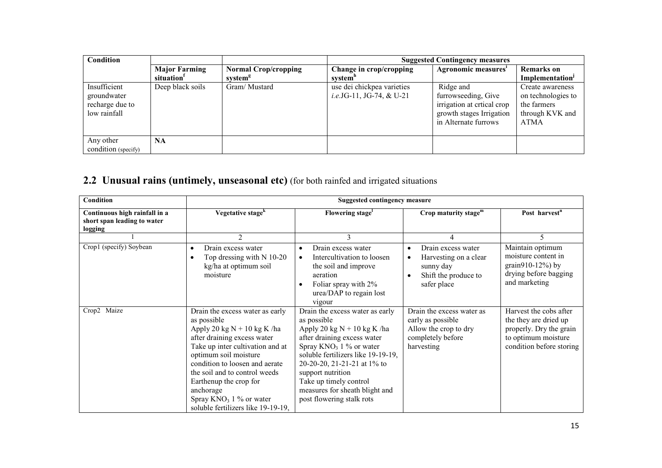| <b>Condition</b>                                               |                                                |                                                    |                                                                | <b>Suggested Contingency measures</b>                                                                               |                                                                                  |
|----------------------------------------------------------------|------------------------------------------------|----------------------------------------------------|----------------------------------------------------------------|---------------------------------------------------------------------------------------------------------------------|----------------------------------------------------------------------------------|
|                                                                | <b>Major Farming</b><br>situation <sup>1</sup> | <b>Normal Crop/cropping</b><br>system <sup>g</sup> | Change in crop/cropping<br>system"                             | Agronomic measures'                                                                                                 | <b>Remarks</b> on<br>Implementation <sup>J</sup>                                 |
| Insufficient<br>groundwater<br>recharge due to<br>low rainfall | Deep black soils                               | Gram/Mustard                                       | use dei chickpea varieties<br><i>i.e.</i> JG-11, JG-74, & U-21 | Ridge and<br>furrowseeding, Give<br>irrigation at critical crop<br>growth stages Irrigation<br>in Alternate furrows | Create awareness<br>on technologies to<br>the farmers<br>through KVK and<br>ATMA |
| Any other<br>condition (specify)                               | <b>NA</b>                                      |                                                    |                                                                |                                                                                                                     |                                                                                  |

# 2.2 Unusual rains (untimely, unseasonal etc) (for both rainfed and irrigated situations

| Condition                                                               | <b>Suggested contingency measure</b>                                                                                                                                                                                                                                                                                                                      |                                                                                                                                                                                                                                                                                                                                 |                                                                                                            |                                                                                                                               |
|-------------------------------------------------------------------------|-----------------------------------------------------------------------------------------------------------------------------------------------------------------------------------------------------------------------------------------------------------------------------------------------------------------------------------------------------------|---------------------------------------------------------------------------------------------------------------------------------------------------------------------------------------------------------------------------------------------------------------------------------------------------------------------------------|------------------------------------------------------------------------------------------------------------|-------------------------------------------------------------------------------------------------------------------------------|
| Continuous high rainfall in a<br>short span leading to water<br>logging | Vegetative stage <sup>k</sup>                                                                                                                                                                                                                                                                                                                             | Flowering stage <sup>1</sup>                                                                                                                                                                                                                                                                                                    | Crop maturity stage <sup>m</sup>                                                                           | Post harvest <sup>n</sup>                                                                                                     |
|                                                                         | $\mathfrak{D}$                                                                                                                                                                                                                                                                                                                                            | 3                                                                                                                                                                                                                                                                                                                               | 4                                                                                                          | 5                                                                                                                             |
| Crop1 (specify) Soybean                                                 | Drain excess water<br>Top dressing with N 10-20<br>kg/ha at optimum soil<br>moisture                                                                                                                                                                                                                                                                      | Drain excess water<br>Intercultivation to loosen<br>the soil and improve<br>aeration<br>Foliar spray with 2%<br>urea/DAP to regain lost<br>vigour                                                                                                                                                                               | Drain excess water<br>Harvesting on a clear<br>sunny day<br>Shift the produce to<br>safer place            | Maintain optimum<br>moisture content in<br>grain $910-12%$ ) by<br>drying before bagging<br>and marketing                     |
| Crop2 Maize                                                             | Drain the excess water as early<br>as possible<br>Apply 20 kg $N + 10$ kg K /ha<br>after draining excess water<br>Take up inter cultivation and at<br>optimum soil moisture<br>condition to loosen and aerate<br>the soil and to control weeds<br>Earthenup the crop for<br>anchorage<br>Spray $KNO_3$ 1 % or water<br>soluble fertilizers like 19-19-19, | Drain the excess water as early<br>as possible<br>Apply 20 kg $N + 10$ kg K /ha<br>after draining excess water<br>Spray $KNO_3$ 1 % or water<br>soluble fertilizers like 19-19-19,<br>20-20-20, 21-21-21 at 1% to<br>support nutrition<br>Take up timely control<br>measures for sheath blight and<br>post flowering stalk rots | Drain the excess water as<br>early as possible<br>Allow the crop to dry<br>completely before<br>harvesting | Harvest the cobs after<br>the they are dried up<br>properly. Dry the grain<br>to optimum moisture<br>condition before storing |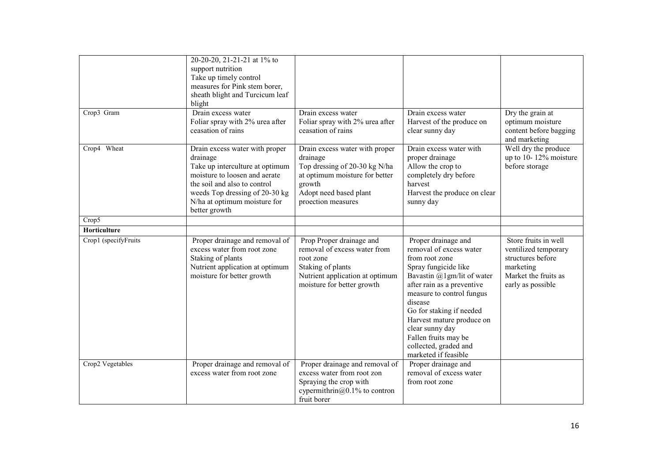|                      | 20-20-20, 21-21-21 at 1% to     |                                 |                                      |                        |
|----------------------|---------------------------------|---------------------------------|--------------------------------------|------------------------|
|                      | support nutrition               |                                 |                                      |                        |
|                      | Take up timely control          |                                 |                                      |                        |
|                      | measures for Pink stem borer,   |                                 |                                      |                        |
|                      | sheath blight and Turcicum leaf |                                 |                                      |                        |
|                      | blight                          |                                 |                                      |                        |
| Crop3 Gram           | Drain excess water              | Drain excess water              | Drain excess water                   | Dry the grain at       |
|                      | Foliar spray with 2% urea after | Foliar spray with 2% urea after | Harvest of the produce on            | optimum moisture       |
|                      | ceasation of rains              | ceasation of rains              | clear sunny day                      | content before bagging |
|                      |                                 |                                 |                                      | and marketing          |
| Crop4 Wheat          | Drain excess water with proper  | Drain excess water with proper  | Drain excess water with              | Well dry the produce   |
|                      | drainage                        | drainage                        | proper drainage                      | up to 10-12% moisture  |
|                      | Take up interculture at optimum | Top dressing of 20-30 kg N/ha   | Allow the crop to                    | before storage         |
|                      | moisture to loosen and aerate   | at optimum moisture for better  | completely dry before                |                        |
|                      | the soil and also to control    | growth                          | harvest                              |                        |
|                      | weeds Top dressing of 20-30 kg  | Adopt need based plant          | Harvest the produce on clear         |                        |
|                      | N/ha at optimum moisture for    | proection measures              | sunny day                            |                        |
| Crop5                | better growth                   |                                 |                                      |                        |
|                      |                                 |                                 |                                      |                        |
| Horticulture         |                                 |                                 |                                      |                        |
| Crop1 (specifyFruits | Proper drainage and removal of  | Prop Proper drainage and        | Proper drainage and                  | Store fruits in well   |
|                      | excess water from root zone     | removal of excess water from    | removal of excess water              | ventilized temporary   |
|                      | Staking of plants               | root zone                       | from root zone                       | structures before      |
|                      | Nutrient application at optimum | Staking of plants               | Spray fungicide like                 | marketing              |
|                      | moisture for better growth      | Nutrient application at optimum | Bavastin $(a)$ 1 gm/lit of water     | Market the fruits as   |
|                      |                                 | moisture for better growth      | after rain as a preventive           | early as possible      |
|                      |                                 |                                 | measure to control fungus<br>disease |                        |
|                      |                                 |                                 | Go for staking if needed             |                        |
|                      |                                 |                                 | Harvest mature produce on            |                        |
|                      |                                 |                                 | clear sunny day                      |                        |
|                      |                                 |                                 | Fallen fruits may be                 |                        |
|                      |                                 |                                 | collected, graded and                |                        |
|                      |                                 |                                 | marketed if feasible                 |                        |
| Crop2 Vegetables     | Proper drainage and removal of  | Proper drainage and removal of  | Proper drainage and                  |                        |
|                      | excess water from root zone     | excess water from root zon      | removal of excess water              |                        |
|                      |                                 | Spraying the crop with          | from root zone                       |                        |
|                      |                                 | cypermithrin@0.1% to contron    |                                      |                        |
|                      |                                 | fruit borer                     |                                      |                        |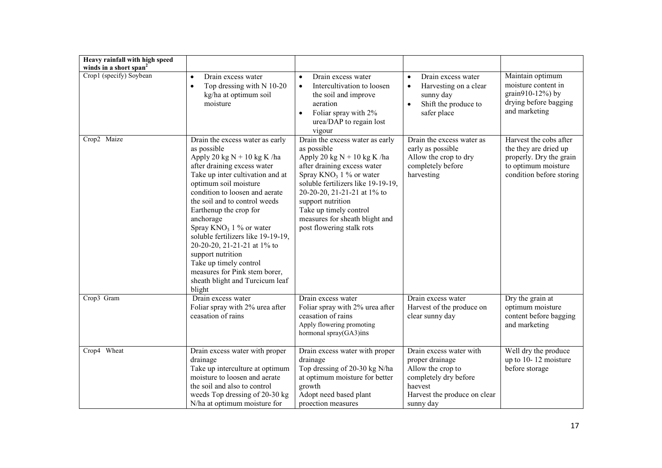| Heavy rainfall with high speed     |                                                                                                                                                                                                                                                                                                                                                                                                                                                                                                                       |                                                                                                                                                                                                                                                                                                                                 |                                                                                                                                                  |                                                                                                                               |
|------------------------------------|-----------------------------------------------------------------------------------------------------------------------------------------------------------------------------------------------------------------------------------------------------------------------------------------------------------------------------------------------------------------------------------------------------------------------------------------------------------------------------------------------------------------------|---------------------------------------------------------------------------------------------------------------------------------------------------------------------------------------------------------------------------------------------------------------------------------------------------------------------------------|--------------------------------------------------------------------------------------------------------------------------------------------------|-------------------------------------------------------------------------------------------------------------------------------|
| winds in a short span <sup>2</sup> |                                                                                                                                                                                                                                                                                                                                                                                                                                                                                                                       |                                                                                                                                                                                                                                                                                                                                 |                                                                                                                                                  |                                                                                                                               |
| Crop1 (specify) Soybean            | Drain excess water<br>$\bullet$<br>Top dressing with N 10-20<br>$\bullet$<br>kg/ha at optimum soil<br>moisture                                                                                                                                                                                                                                                                                                                                                                                                        | Drain excess water<br>$\bullet$<br>Intercultivation to loosen<br>$\bullet$<br>the soil and improve<br>aeration<br>Foliar spray with 2%<br>$\bullet$<br>urea/DAP to regain lost<br>vigour                                                                                                                                        | Drain excess water<br>$\bullet$<br>Harvesting on a clear<br>sunny day<br>Shift the produce to<br>$\bullet$<br>safer place                        | Maintain optimum<br>moisture content in<br>grain910-12%) by<br>drying before bagging<br>and marketing                         |
| Crop2 Maize                        | Drain the excess water as early<br>as possible<br>Apply 20 kg $N + 10$ kg K /ha<br>after draining excess water<br>Take up inter cultivation and at<br>optimum soil moisture<br>condition to loosen and aerate<br>the soil and to control weeds<br>Earthenup the crop for<br>anchorage<br>Spray $KNO_3$ 1 % or water<br>soluble fertilizers like 19-19-19,<br>20-20-20, 21-21-21 at 1% to<br>support nutrition<br>Take up timely control<br>measures for Pink stem borer,<br>sheath blight and Turcicum leaf<br>blight | Drain the excess water as early<br>as possible<br>Apply 20 kg $N + 10$ kg K /ha<br>after draining excess water<br>Spray $KNO_3$ 1 % or water<br>soluble fertilizers like 19-19-19,<br>20-20-20, 21-21-21 at 1% to<br>support nutrition<br>Take up timely control<br>measures for sheath blight and<br>post flowering stalk rots | Drain the excess water as<br>early as possible<br>Allow the crop to dry<br>completely before<br>harvesting                                       | Harvest the cobs after<br>the they are dried up<br>properly. Dry the grain<br>to optimum moisture<br>condition before storing |
| Crop3 Gram                         | Drain excess water<br>Foliar spray with 2% urea after<br>ceasation of rains                                                                                                                                                                                                                                                                                                                                                                                                                                           | Drain excess water<br>Foliar spray with 2% urea after<br>ceasation of rains<br>Apply flowering promoting<br>hormonal spray(GA3)ins                                                                                                                                                                                              | Drain excess water<br>Harvest of the produce on<br>clear sunny day                                                                               | Dry the grain at<br>optimum moisture<br>content before bagging<br>and marketing                                               |
| Crop4 Wheat                        | Drain excess water with proper<br>drainage<br>Take up interculture at optimum<br>moisture to loosen and aerate<br>the soil and also to control<br>weeds Top dressing of 20-30 kg<br>N/ha at optimum moisture for                                                                                                                                                                                                                                                                                                      | Drain excess water with proper<br>drainage<br>Top dressing of 20-30 kg N/ha<br>at optimum moisture for better<br>growth<br>Adopt need based plant<br>proection measures                                                                                                                                                         | Drain excess water with<br>proper drainage<br>Allow the crop to<br>completely dry before<br>haevest<br>Harvest the produce on clear<br>sunny day | Well dry the produce<br>up to 10-12 moisture<br>before storage                                                                |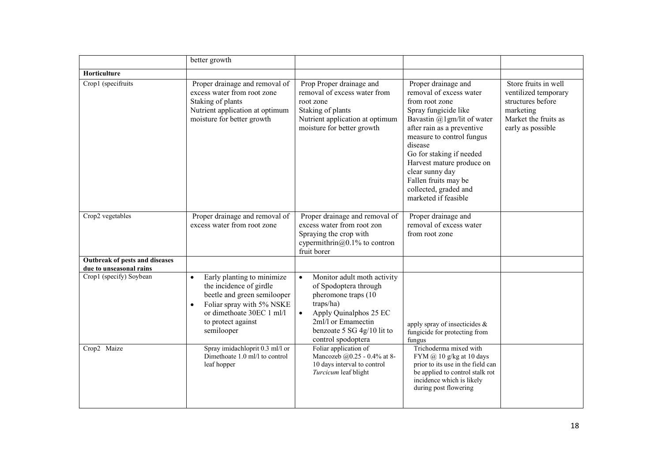| better growth                                                                                                                                                                                                                                                                                    |                                                                                                                                                                                                                                                                                                                          |                                                                                                                                                                                                                                                                                                                                                   |                                                                                                                             |
|--------------------------------------------------------------------------------------------------------------------------------------------------------------------------------------------------------------------------------------------------------------------------------------------------|--------------------------------------------------------------------------------------------------------------------------------------------------------------------------------------------------------------------------------------------------------------------------------------------------------------------------|---------------------------------------------------------------------------------------------------------------------------------------------------------------------------------------------------------------------------------------------------------------------------------------------------------------------------------------------------|-----------------------------------------------------------------------------------------------------------------------------|
|                                                                                                                                                                                                                                                                                                  |                                                                                                                                                                                                                                                                                                                          |                                                                                                                                                                                                                                                                                                                                                   |                                                                                                                             |
| Proper drainage and removal of<br>excess water from root zone<br>Staking of plants<br>Nutrient application at optimum<br>moisture for better growth                                                                                                                                              | Prop Proper drainage and<br>removal of excess water from<br>root zone<br>Staking of plants<br>Nutrient application at optimum<br>moisture for better growth                                                                                                                                                              | Proper drainage and<br>removal of excess water<br>from root zone<br>Spray fungicide like<br>Bavastin @1gm/lit of water<br>after rain as a preventive<br>measure to control fungus<br>disease<br>Go for staking if needed<br>Harvest mature produce on<br>clear sunny day<br>Fallen fruits may be<br>collected, graded and<br>marketed if feasible | Store fruits in well<br>ventilized temporary<br>structures before<br>marketing<br>Market the fruits as<br>early as possible |
| excess water from root zone                                                                                                                                                                                                                                                                      | excess water from root zon<br>Spraying the crop with<br>cypermithrin $@0.1\%$ to contron<br>fruit borer                                                                                                                                                                                                                  | removal of excess water<br>from root zone                                                                                                                                                                                                                                                                                                         |                                                                                                                             |
|                                                                                                                                                                                                                                                                                                  |                                                                                                                                                                                                                                                                                                                          |                                                                                                                                                                                                                                                                                                                                                   |                                                                                                                             |
| Early planting to minimize<br>$\bullet$<br>the incidence of girdle<br>beetle and green semilooper<br>Foliar spray with 5% NSKE<br>$\bullet$<br>or dimethoate 30EC 1 ml/l<br>to protect against<br>semilooper<br>Spray imidachloprit 0.3 ml/l or<br>Dimethoate 1.0 ml/l to control<br>leaf hopper | Monitor adult moth activity<br>$\bullet$<br>of Spodoptera through<br>pheromone traps (10<br>traps/ha)<br>Apply Quinalphos 25 EC<br>2ml/l or Emamectin<br>benzoate 5 SG 4g/10 lit to<br>control spodoptera<br>Foliar application of<br>Mancozeb @0.25 - 0.4% at 8-<br>10 days interval to control<br>Turcicum leaf blight | apply spray of insecticides $\&$<br>fungicide for protecting from<br>fungus<br>Trichoderma mixed with<br>FYM @ 10 g/kg at 10 days<br>prior to its use in the field can<br>be applied to control stalk rot<br>incidence which is likely<br>during post flowering                                                                                   |                                                                                                                             |
|                                                                                                                                                                                                                                                                                                  | Proper drainage and removal of                                                                                                                                                                                                                                                                                           | Proper drainage and removal of                                                                                                                                                                                                                                                                                                                    | Proper drainage and                                                                                                         |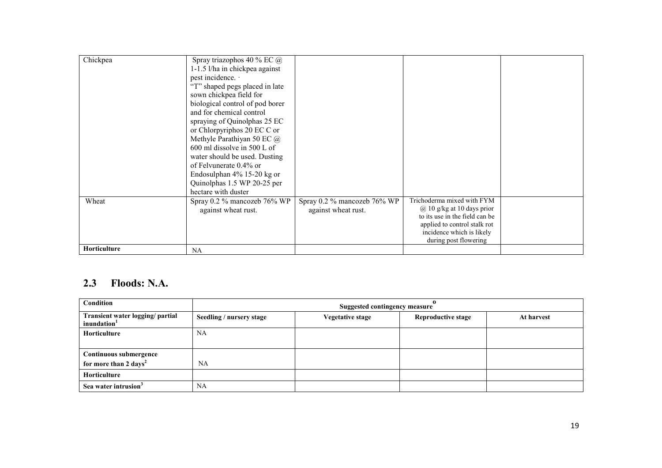| Chickpea     | Spray triazophos 40 % EC @<br>1-1.5 l/ha in chickpea against<br>pest incidence. ·<br>"T" shaped pegs placed in late<br>sown chickpea field for<br>biological control of pod borer<br>and for chemical control<br>spraying of Quinolphas 25 EC<br>or Chlorpyriphos 20 EC C or<br>Methyle Parathiyan 50 EC @<br>600 ml dissolve in 500 L of<br>water should be used. Dusting<br>of Felvunerate 0.4% or<br>Endosulphan $4\%$ 15-20 kg or<br>Quinolphas 1.5 WP 20-25 per<br>hectare with duster |                                                    |                                                                                                                                                                                      |  |
|--------------|---------------------------------------------------------------------------------------------------------------------------------------------------------------------------------------------------------------------------------------------------------------------------------------------------------------------------------------------------------------------------------------------------------------------------------------------------------------------------------------------|----------------------------------------------------|--------------------------------------------------------------------------------------------------------------------------------------------------------------------------------------|--|
| Wheat        | Spray 0.2 % mancozeb 76% WP<br>against wheat rust.                                                                                                                                                                                                                                                                                                                                                                                                                                          | Spray 0.2 % mancozeb 76% WP<br>against wheat rust. | Trichoderma mixed with FYM<br>$(a)$ 10 g/kg at 10 days prior<br>to its use in the field can be<br>applied to control stalk rot<br>incidence which is likely<br>during post flowering |  |
| Horticulture | <b>NA</b>                                                                                                                                                                                                                                                                                                                                                                                                                                                                                   |                                                    |                                                                                                                                                                                      |  |

## 2.3 Floods: N.A.

| Condition                                                   | <b>Suggested contingency measure</b> |                  |                           |            |  |
|-------------------------------------------------------------|--------------------------------------|------------------|---------------------------|------------|--|
| Transient water logging/ partial<br>inundation <sup>1</sup> | Seedling / nursery stage             | Vegetative stage | <b>Reproductive stage</b> | At harvest |  |
| Horticulture                                                | NA                                   |                  |                           |            |  |
|                                                             |                                      |                  |                           |            |  |
| Continuous submergence                                      |                                      |                  |                           |            |  |
| for more than 2 days <sup>2</sup>                           | <b>NA</b>                            |                  |                           |            |  |
| Horticulture                                                |                                      |                  |                           |            |  |
| Sea water intrusion <sup>3</sup>                            | <b>NA</b>                            |                  |                           |            |  |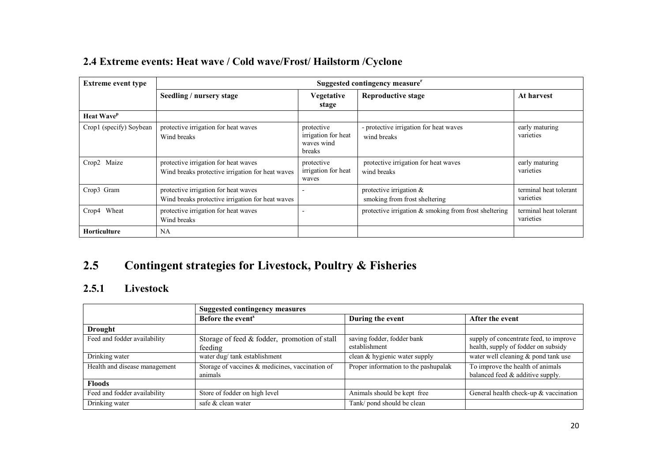| 2.4 Extreme events: Heat wave / Cold wave/Frost/ Hailstorm / Cyclone |
|----------------------------------------------------------------------|
|----------------------------------------------------------------------|

| <b>Extreme event type</b>     | Suggested contingency measure <sup>r</sup>                                               |                                                           |                                                             |                                     |  |
|-------------------------------|------------------------------------------------------------------------------------------|-----------------------------------------------------------|-------------------------------------------------------------|-------------------------------------|--|
|                               | Seedling / nursery stage                                                                 | <b>Vegetative</b><br>stage                                | <b>Reproductive stage</b>                                   | At harvest                          |  |
| <b>Heat Wave</b> <sup>p</sup> |                                                                                          |                                                           |                                                             |                                     |  |
| Crop1 (specify) Soybean       | protective irrigation for heat waves<br>Wind breaks                                      | protective<br>irrigation for heat<br>waves wind<br>breaks | - protective irrigation for heat waves<br>wind breaks       | early maturing<br>varieties         |  |
| Crop2 Maize                   | protective irrigation for heat waves<br>Wind breaks protective irrigation for heat waves | protective<br>irrigation for heat<br>waves                | protective irrigation for heat waves<br>wind breaks         | early maturing<br>varieties         |  |
| Crop3 Gram                    | protective irrigation for heat waves<br>Wind breaks protective irrigation for heat waves |                                                           | protective irrigation $\&$<br>smoking from frost sheltering | terminal heat tolerant<br>varieties |  |
| Crop4 Wheat                   | protective irrigation for heat waves<br>Wind breaks                                      |                                                           | protective irrigation $\&$ smoking from frost sheltering    | terminal heat tolerant<br>varieties |  |
| Horticulture                  | <b>NA</b>                                                                                |                                                           |                                                             |                                     |  |

#### 2.5Contingent strategies for Livestock, Poultry & Fisheries

# 2.5.1 Livestock

|                               | <b>Suggested contingency measures</b>                         |                                             |                                                                               |
|-------------------------------|---------------------------------------------------------------|---------------------------------------------|-------------------------------------------------------------------------------|
|                               | Before the event <sup>s</sup>                                 | During the event                            | After the event                                                               |
| <b>Drought</b>                |                                                               |                                             |                                                                               |
| Feed and fodder availability  | Storage of feed & fodder, promotion of stall<br>feeding       | saving fodder, fodder bank<br>establishment | supply of concentrate feed, to improve<br>health, supply of fodder on subsidy |
| Drinking water                | water dug/tank establishment                                  | clean & hygienic water supply               | water well cleaning & pond tank use                                           |
| Health and disease management | Storage of vaccines $\&$ medicines, vaccination of<br>animals | Proper information to the pashupalak        | To improve the health of animals<br>balanced feed $\&$ additive supply.       |
| <b>Floods</b>                 |                                                               |                                             |                                                                               |
| Feed and fodder availability  | Store of fodder on high level                                 | Animals should be kept free                 | General health check-up & vaccination                                         |
| Drinking water                | safe & clean water                                            | Tank/pond should be clean                   |                                                                               |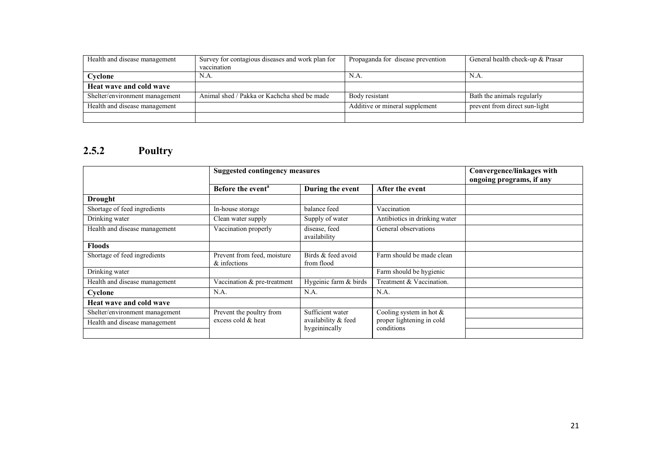| Health and disease management  | Survey for contagious diseases and work plan for | Propaganda for disease prevention | General health check-up & Prasar |
|--------------------------------|--------------------------------------------------|-----------------------------------|----------------------------------|
|                                | vaccination                                      |                                   |                                  |
| Cyclone                        | N.A.                                             | N.A.                              | N.A.                             |
| Heat wave and cold wave        |                                                  |                                   |                                  |
| Shelter/environment management | Animal shed / Pakka or Kachcha shed be made      | Body resistant                    | Bath the animals regularly       |
| Health and disease management  |                                                  | Additive or mineral supplement    | prevent from direct sun-light    |
|                                |                                                  |                                   |                                  |

#### 2.5.2 Poultry

|                                | <b>Suggested contingency measures</b>          |                                                          |                                                                       | Convergence/linkages with<br>ongoing programs, if any |
|--------------------------------|------------------------------------------------|----------------------------------------------------------|-----------------------------------------------------------------------|-------------------------------------------------------|
|                                | Before the event <sup>a</sup>                  | During the event                                         | After the event                                                       |                                                       |
| <b>Drought</b>                 |                                                |                                                          |                                                                       |                                                       |
| Shortage of feed ingredients   | In-house storage                               | balance feed                                             | Vaccination                                                           |                                                       |
| Drinking water                 | Clean water supply                             | Supply of water                                          | Antibiotics in drinking water                                         |                                                       |
| Health and disease management  | Vaccination properly                           | disease, feed<br>availability                            | General observations                                                  |                                                       |
| <b>Floods</b>                  |                                                |                                                          |                                                                       |                                                       |
| Shortage of feed ingredients   | Prevent from feed, moisture<br>& infections    | Birds & feed avoid<br>from flood                         | Farm should be made clean                                             |                                                       |
| Drinking water                 |                                                |                                                          | Farm should be hygienic                                               |                                                       |
| Health and disease management  | Vaccination & pre-treatment                    | Hygeinic farm & birds                                    | Treatment & Vaccination.                                              |                                                       |
| Cyclone                        | N.A.                                           | N.A.                                                     | N.A.                                                                  |                                                       |
| Heat wave and cold wave        |                                                |                                                          |                                                                       |                                                       |
| Shelter/environment management | Prevent the poultry from<br>excess cold & heat | Sufficient water<br>availability & feed<br>hygeinincally | Cooling system in hot $\&$<br>proper lightening in cold<br>conditions |                                                       |
| Health and disease management  |                                                |                                                          |                                                                       |                                                       |
|                                |                                                |                                                          |                                                                       |                                                       |